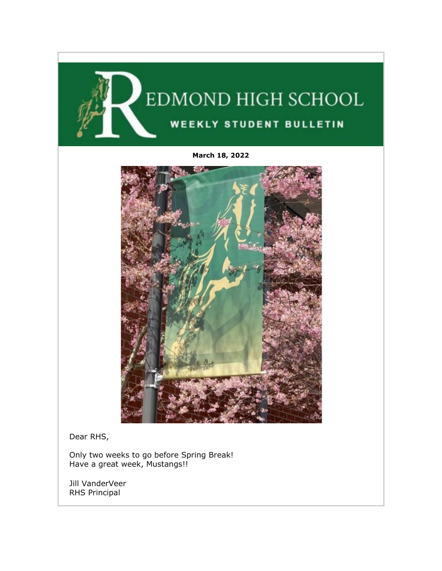

**March 18, 2022**



Dear RHS,

Only two weeks to go before Spring Break! Have a great week, Mustangs!!

Jill VanderVeer RHS Principal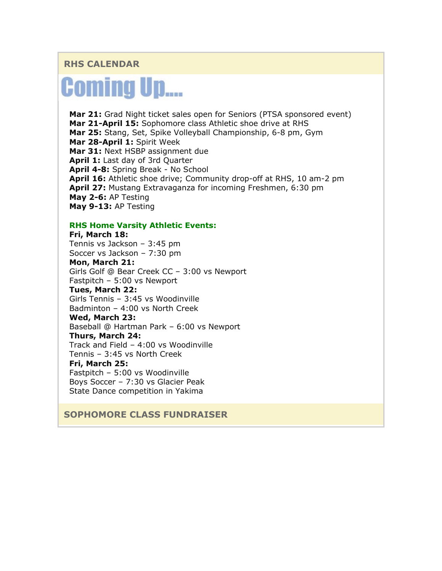# **RHS CALENDAR**

# **Coming Up....**

**Mar 21:** Grad Night ticket sales open for Seniors (PTSA sponsored event) **Mar 21-April 15:** Sophomore class Athletic shoe drive at RHS **Mar 25:** Stang, Set, Spike Volleyball Championship, 6-8 pm, Gym **Mar 28-April 1:** Spirit Week **Mar 31:** Next HSBP assignment due **April 1:** Last day of 3rd Quarter **April 4-8:** Spring Break - No School **April 16:** Athletic shoe drive; Community drop-off at RHS, 10 am-2 pm **April 27:** Mustang Extravaganza for incoming Freshmen, 6:30 pm **May 2-6:** AP Testing **May 9-13:** AP Testing

#### **RHS Home Varsity Athletic Events:**

**Fri, March 18:** Tennis vs Jackson – 3:45 pm Soccer vs Jackson – 7:30 pm

**Mon, March 21:**

Girls Golf @ Bear Creek CC – 3:00 vs Newport Fastpitch – 5:00 vs Newport

#### **Tues, March 22:**

Girls Tennis – 3:45 vs Woodinville Badminton – 4:00 vs North Creek

#### **Wed, March 23:**

Baseball @ Hartman Park – 6:00 vs Newport

#### **Thurs, March 24:**

Track and Field – 4:00 vs Woodinville

Tennis – 3:45 vs North Creek

#### **Fri, March 25:**

Fastpitch – 5:00 vs Woodinville Boys Soccer – 7:30 vs Glacier Peak State Dance competition in Yakima

### **SOPHOMORE CLASS FUNDRAISER**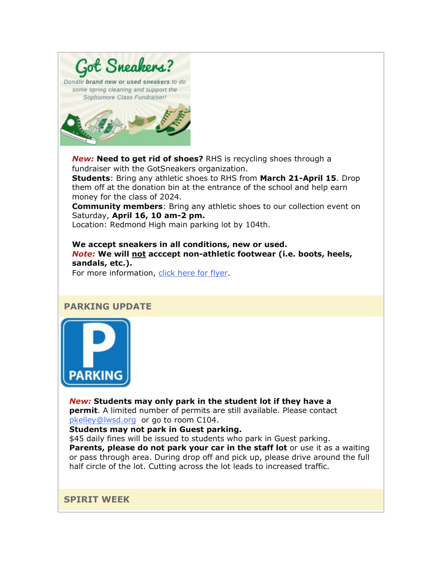

*New:* **Need to get rid of shoes?** RHS is recycling shoes through a fundraiser with the GotSneakers organization.

**Students**: Bring any athletic shoes to RHS from **March 21-April 15**. Drop them off at the donation bin at the entrance of the school and help earn money for the class of 2024.

**Community members**: Bring any athletic shoes to our collection event on Saturday, **April 16, 10 am-2 pm.**

Location: Redmond High main parking lot by 104th.

**We accept sneakers in all conditions, new or used.** *Note:* **We will not acccept non-athletic footwear (i.e. boots, heels, sandals, etc.).**

For more information, [click here](https://nam02.safelinks.protection.outlook.com/?url=http%3A%2F%2Flink.email.dynect.net%2Flink.php%3FDynEngagement%3Dtrue%26H%3De%252BlHqQR4V3t5TbxsLRxYoJGv35GfBKviw7YeOfmjq4SZWfxMG%252BVhK%252Fwt32BceZxw4OAAvaaMhSGcdrreUtfS5kPfr3omy8KYvEzPkBTdXL9so2bkLtJtpg%253D%253D%26G%3D0%26R%3Dhttps%253A%252F%252FPIYPGYZTANA.hatchbuck.com%252FTrackLinkClick%253FID2%253D-UmMZaeJycDtUlswc2vfceF7bQTVpcPnOy4sxaar6kBagmr48mF83Br5LKJfVYC30%26I%3D20220318222024.000000f6d903%2540smtp-ad2-47-phx%26X%3DMHwxMjY0OTIyOjI1MzIzMDY3MzY7MXwxMjY0OTIzOjE5OTYwNjE5OTs%253D%26V%3D3%26S%3Dqk1kKqTzPBeMQKftNUcoW0m1UxoGxOfidJ0mnwPB4GU&data=04%7C01%7Cmwood%40lwsd.org%7Cdae525e5009f40845d3708da092ded00%7C1fd4673fdf9646218638a1d88c4c85d7%7C0%7C0%7C637832390114142013%7CUnknown%7CTWFpbGZsb3d8eyJWIjoiMC4wLjAwMDAiLCJQIjoiV2luMzIiLCJBTiI6Ik1haWwiLCJXVCI6Mn0%3D%7C3000&sdata=ySbBbUNJ%2F%2F3IdxPSHIni6niyADkQNH6nJW%2FMn35X33I%3D&reserved=0) for flyer.

### **PARKING UPDATE**



*New:* **Students may only park in the student lot if they have a permit**. A limited number of permits are still available. Please contact [pkelley@lwsd.org](mailto:pkelley@lwsd.org) or go to room C104.

**Students may not park in Guest parking.**

\$45 daily fines will be issued to students who park in Guest parking. **Parents, please do not park your car in the staff lot** or use it as a waiting or pass through area. During drop off and pick up, please drive around the full half circle of the lot. Cutting across the lot leads to increased traffic.

**SPIRIT WEEK**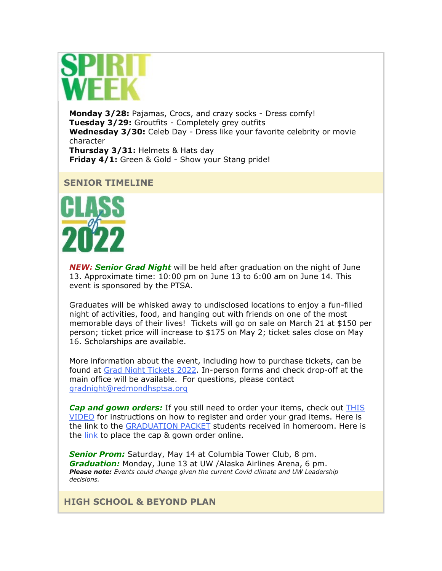

**Monday 3/28:** Pajamas, Crocs, and crazy socks - Dress comfy! **Tuesday 3/29:** Groutfits - Completely grey outfits **Wednesday 3/30:** Celeb Day - Dress like your favorite celebrity or movie character **Thursday 3/31:** Helmets & Hats day **Friday 4/1:** Green & Gold - Show your Stang pride!

# **SENIOR TIMELINE**



*NEW: Senior Grad Night* will be held after graduation on the night of June 13. Approximate time: 10:00 pm on June 13 to 6:00 am on June 14. This event is sponsored by the PTSA.

Graduates will be whisked away to undisclosed locations to enjoy a fun-filled night of activities, food, and hanging out with friends on one of the most memorable days of their lives! Tickets will go on sale on March 21 at \$150 per person; ticket price will increase to \$175 on May 2; ticket sales close on May 16. Scholarships are available.

More information about the event, including how to purchase tickets, can be found at [Grad Night Tickets 2022.](https://nam02.safelinks.protection.outlook.com/?url=http%3A%2F%2Flink.email.dynect.net%2Flink.php%3FDynEngagement%3Dtrue%26H%3De%252BlHqQR4V3t5TbxsLRxYoJGv35GfBKviw7YeOfmjq4SZWfxMG%252BVhK%252Fwt32BceZxw4OAAvaaMhSGcdrreUtfS5kPfr3omy8KYvEzPkBTdXL9so2bkLtJtpg%253D%253D%26G%3D0%26R%3Dhttps%253A%252F%252FPIYPGYZTANA.hatchbuck.com%252FTrackLinkClick%253FID2%253DX51c2_s0zD9krQw4fetArrLZbnbwbnXAecgH2bBZgGXS5wboBDY2fpNhVGMC-bOY0%26I%3D20220318222024.000000f6d903%2540smtp-ad2-47-phx%26X%3DMHwxMjY0OTIyOjI1MzIzMDY3MzY7MXwxMjY0OTIzOjE5OTYwNjE5OTs%253D%26V%3D3%26S%3D3nc9OQV6Leay9lEl8N9iPd_WXGYg9vCCxlUno2hxMqg&data=04%7C01%7Cmwood%40lwsd.org%7Cdae525e5009f40845d3708da092ded00%7C1fd4673fdf9646218638a1d88c4c85d7%7C0%7C0%7C637832390114142013%7CUnknown%7CTWFpbGZsb3d8eyJWIjoiMC4wLjAwMDAiLCJQIjoiV2luMzIiLCJBTiI6Ik1haWwiLCJXVCI6Mn0%3D%7C3000&sdata=fdzV1YmlFqGwCrAeHlDL6YVgXX9D2BcydcUMM3dJbqA%3D&reserved=0) In-person forms and check drop-off at the main office will be available. For questions, please contact [gradnight@redmondhsptsa.org](mailto:gradnight@redmondhsptsa.org) 

*Cap and gown orders:* If you still need to order your items, check out [THIS](https://nam02.safelinks.protection.outlook.com/?url=http%3A%2F%2Flink.email.dynect.net%2Flink.php%3FDynEngagement%3Dtrue%26H%3De%252BlHqQR4V3t5TbxsLRxYoJGv35GfBKviw7YeOfmjq4SZWfxMG%252BVhK%252Fwt32BceZxw4OAAvaaMhSGcdrreUtfS5kPfr3omy8KYvEzPkBTdXL9so2bkLtJtpg%253D%253D%26G%3D0%26R%3Dhttps%253A%252F%252FPIYPGYZTANA.hatchbuck.com%252FTrackLinkClick%253FID2%253Do6NMer-nwMMq0whccQTG0j41M74Z6JpnFLnmA972e9FDuu9svW18ZtyQv9c4v1sr0%26I%3D20220318222024.000000f6d903%2540smtp-ad2-47-phx%26X%3DMHwxMjY0OTIyOjI1MzIzMDY3MzY7MXwxMjY0OTIzOjE5OTYwNjE5OTs%253D%26V%3D3%26S%3Dfx6VYQw2-MKlV128xzbdeaJlapkAOQ3YWO4x1TtyLN4&data=04%7C01%7Cmwood%40lwsd.org%7Cdae525e5009f40845d3708da092ded00%7C1fd4673fdf9646218638a1d88c4c85d7%7C0%7C0%7C637832390114142013%7CUnknown%7CTWFpbGZsb3d8eyJWIjoiMC4wLjAwMDAiLCJQIjoiV2luMzIiLCJBTiI6Ik1haWwiLCJXVCI6Mn0%3D%7C3000&sdata=CpuaAOfUa5fCA7sdE%2Fv0%2FDb7deIJ2oQ1enJ8FwbFdg8%3D&reserved=0)  [VIDEO](https://nam02.safelinks.protection.outlook.com/?url=http%3A%2F%2Flink.email.dynect.net%2Flink.php%3FDynEngagement%3Dtrue%26H%3De%252BlHqQR4V3t5TbxsLRxYoJGv35GfBKviw7YeOfmjq4SZWfxMG%252BVhK%252Fwt32BceZxw4OAAvaaMhSGcdrreUtfS5kPfr3omy8KYvEzPkBTdXL9so2bkLtJtpg%253D%253D%26G%3D0%26R%3Dhttps%253A%252F%252FPIYPGYZTANA.hatchbuck.com%252FTrackLinkClick%253FID2%253Do6NMer-nwMMq0whccQTG0j41M74Z6JpnFLnmA972e9FDuu9svW18ZtyQv9c4v1sr0%26I%3D20220318222024.000000f6d903%2540smtp-ad2-47-phx%26X%3DMHwxMjY0OTIyOjI1MzIzMDY3MzY7MXwxMjY0OTIzOjE5OTYwNjE5OTs%253D%26V%3D3%26S%3Dfx6VYQw2-MKlV128xzbdeaJlapkAOQ3YWO4x1TtyLN4&data=04%7C01%7Cmwood%40lwsd.org%7Cdae525e5009f40845d3708da092ded00%7C1fd4673fdf9646218638a1d88c4c85d7%7C0%7C0%7C637832390114142013%7CUnknown%7CTWFpbGZsb3d8eyJWIjoiMC4wLjAwMDAiLCJQIjoiV2luMzIiLCJBTiI6Ik1haWwiLCJXVCI6Mn0%3D%7C3000&sdata=CpuaAOfUa5fCA7sdE%2Fv0%2FDb7deIJ2oQ1enJ8FwbFdg8%3D&reserved=0) for instructions on how to register and order your grad items. Here is the link to the [GRADUATION PACKET](https://nam02.safelinks.protection.outlook.com/?url=http%3A%2F%2Flink.email.dynect.net%2Flink.php%3FDynEngagement%3Dtrue%26H%3De%252BlHqQR4V3t5TbxsLRxYoJGv35GfBKviw7YeOfmjq4SZWfxMG%252BVhK%252Fwt32BceZxw4OAAvaaMhSGcdrreUtfS5kPfr3omy8KYvEzPkBTdXL9so2bkLtJtpg%253D%253D%26G%3D0%26R%3Dhttps%253A%252F%252FPIYPGYZTANA.hatchbuck.com%252FTrackLinkClick%253FID2%253DoSZsIHEoy-7Z725h28HukhRPXkTajFyz8deapzwEahVcZYHtbXyhjZkXr2ZVRJ_V0%26I%3D20220318222024.000000f6d903%2540smtp-ad2-47-phx%26X%3DMHwxMjY0OTIyOjI1MzIzMDY3MzY7MXwxMjY0OTIzOjE5OTYwNjE5OTs%253D%26V%3D3%26S%3DH8pF6Ov1WmhrZTEePtuiyTGf6LmSXw0D4ILTcpj000Y&data=04%7C01%7Cmwood%40lwsd.org%7Cdae525e5009f40845d3708da092ded00%7C1fd4673fdf9646218638a1d88c4c85d7%7C0%7C0%7C637832390114142013%7CUnknown%7CTWFpbGZsb3d8eyJWIjoiMC4wLjAwMDAiLCJQIjoiV2luMzIiLCJBTiI6Ik1haWwiLCJXVCI6Mn0%3D%7C3000&sdata=OtxUaSJos4JKaBl2Iw8h%2BdleHwp4%2F88MXlEZ6LpY%2Fnk%3D&reserved=0) students received in homeroom. Here is the [link](https://nam02.safelinks.protection.outlook.com/?url=http%3A%2F%2Flink.email.dynect.net%2Flink.php%3FDynEngagement%3Dtrue%26H%3De%252BlHqQR4V3t5TbxsLRxYoJGv35GfBKviw7YeOfmjq4SZWfxMG%252BVhK%252Fwt32BceZxw4OAAvaaMhSGcdrreUtfS5kPfr3omy8KYvEzPkBTdXL9so2bkLtJtpg%253D%253D%26G%3D0%26R%3Dhttps%253A%252F%252FPIYPGYZTANA.hatchbuck.com%252FTrackLinkClick%253FID2%253Dm9iSJc25OSS81nJCo1ahB4cCHgBmR4OTLnPDzhOUUZr9Z5dSaFALaoyEUa0CwN7O0%26I%3D20220318222024.000000f6d903%2540smtp-ad2-47-phx%26X%3DMHwxMjY0OTIyOjI1MzIzMDY3MzY7MXwxMjY0OTIzOjE5OTYwNjE5OTs%253D%26V%3D3%26S%3D-TJzzVU1iaetwsN2UM5dN66oco2pbMeIb50Dn2HccxQ&data=04%7C01%7Cmwood%40lwsd.org%7Cdae525e5009f40845d3708da092ded00%7C1fd4673fdf9646218638a1d88c4c85d7%7C0%7C0%7C637832390114142013%7CUnknown%7CTWFpbGZsb3d8eyJWIjoiMC4wLjAwMDAiLCJQIjoiV2luMzIiLCJBTiI6Ik1haWwiLCJXVCI6Mn0%3D%7C3000&sdata=A9BTNrHl83sKR%2FrUyBs5jjpdkB2vYVAFx8i5EtiRecc%3D&reserved=0) to place the cap & gown order online.

*Senior Prom:* Saturday, May 14 at Columbia Tower Club, 8 pm. *Graduation:* Monday, June 13 at UW /Alaska Airlines Arena, 6 pm. *Please note: Events could change given the current Covid climate and UW Leadership decisions.* 

**HIGH SCHOOL & BEYOND PLAN**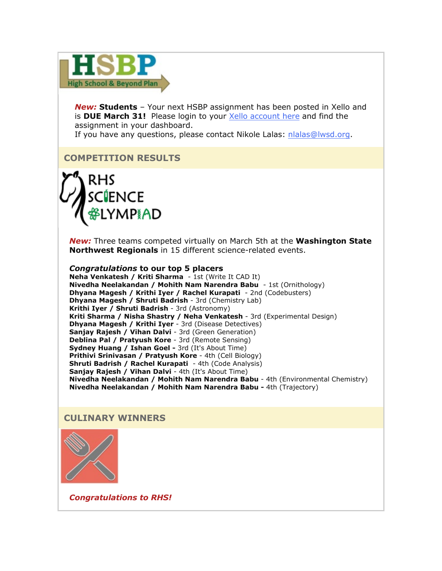

*New:* **Students** – Your next HSBP assignment has been posted in Xello and is **DUE March 31!** Please login to your [Xello account here](https://nam02.safelinks.protection.outlook.com/?url=http%3A%2F%2Flink.email.dynect.net%2Flink.php%3FDynEngagement%3Dtrue%26H%3De%252BlHqQR4V3t5TbxsLRxYoJGv35GfBKviw7YeOfmjq4SZWfxMG%252BVhK%252Fwt32BceZxw4OAAvaaMhSGcdrreUtfS5kPfr3omy8KYvEzPkBTdXL9so2bkLtJtpg%253D%253D%26G%3D0%26R%3Dhttps%253A%252F%252FPIYPGYZTANA.hatchbuck.com%252FTrackLinkClick%253FID2%253DUunRbii8jOpwt3uVnzEsbu5tTOFXY-ObJ-n8lEKfFGy9-WscpRKKBM_uWnI14qFV0%26I%3D20220318222024.000000f6d903%2540smtp-ad2-47-phx%26X%3DMHwxMjY0OTIyOjI1MzIzMDY3MzY7MXwxMjY0OTIzOjE5OTYwNjE5OTs%253D%26V%3D3%26S%3DKuPvhYb2HaNRWwsfz8qXjkRbccBjj-d2xNq4eXHevlA&data=04%7C01%7Cmwood%40lwsd.org%7Cdae525e5009f40845d3708da092ded00%7C1fd4673fdf9646218638a1d88c4c85d7%7C0%7C0%7C637832390114142013%7CUnknown%7CTWFpbGZsb3d8eyJWIjoiMC4wLjAwMDAiLCJQIjoiV2luMzIiLCJBTiI6Ik1haWwiLCJXVCI6Mn0%3D%7C3000&sdata=yE%2ByeAQbVF0gAO9HQq8PYIrcfN5%2BZabZKV1eswy%2BYCk%3D&reserved=0) and find the assignment in your dashboard.

If you have any questions, please contact Nikole Lalas: [nlalas@lwsd.org.](mailto:nlalas@lwsd.org)

# **COMPETITION RESULTS**



*New:* Three teams competed virtually on March 5th at the **Washington State Northwest Regionals** in 15 different science-related events.

#### *Congratulations* **to our top 5 placers**

**Neha Venkatesh / Kriti Sharma** - 1st (Write It CAD It) **Nivedha Neelakandan / Mohith Nam Narendra Babu** - 1st (Ornithology) **Dhyana Magesh / Krithi Iyer / Rachel Kurapati** - 2nd (Codebusters) **Dhyana Magesh / Shruti Badrish** - 3rd (Chemistry Lab) **Krithi Iyer / Shruti Badrish** - 3rd (Astronomy) **Kriti Sharma / Nisha Shastry / Neha Venkatesh** - 3rd (Experimental Design) **Dhyana Magesh / Krithi Iyer** - 3rd (Disease Detectives) **Sanjay Rajesh / Vihan Dalvi** - 3rd (Green Generation) **Deblina Pal / Pratyush Kore** - 3rd (Remote Sensing) **Sydney Huang / Ishan Goel -** 3rd (It's About Time) **Prithivi Srinivasan / Pratyush Kore** - 4th (Cell Biology) **Shruti Badrish / Rachel Kurapati** - 4th (Code Analysis) **Sanjay Rajesh / Vihan Dalvi** - 4th (It's About Time) **Nivedha Neelakandan / Mohith Nam Narendra Babu** - 4th (Environmental Chemistry) **Nivedha Neelakandan / Mohith Nam Narendra Babu -** 4th (Trajectory)

### **CULINARY WINNERS**



*Congratulations to RHS!*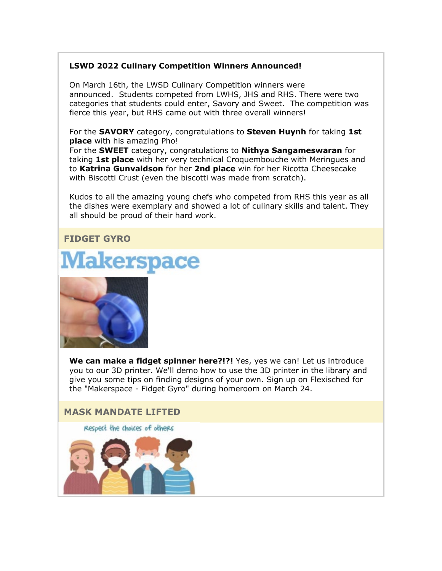## **LSWD 2022 Culinary Competition Winners Announced!**

On March 16th, the LWSD Culinary Competition winners were announced. Students competed from LWHS, JHS and RHS. There were two categories that students could enter, Savory and Sweet. The competition was fierce this year, but RHS came out with three overall winners!

For the **SAVORY** category, congratulations to **Steven Huynh** for taking **1st place** with his amazing Pho!

For the **SWEET** category, congratulations to **Nithya Sangameswaran** for taking **1st place** with her very technical Croquembouche with Meringues and to **Katrina Gunvaldson** for her **2nd place** win for her Ricotta Cheesecake with Biscotti Crust (even the biscotti was made from scratch).

Kudos to all the amazing young chefs who competed from RHS this year as all the dishes were exemplary and showed a lot of culinary skills and talent. They all should be proud of their hard work.

# **FIDGET GYRO**





**We can make a fidget spinner here?!?!** Yes, yes we can! Let us introduce you to our 3D printer. We'll demo how to use the 3D printer in the library and give you some tips on finding designs of your own. Sign up on Flexisched for the "Makerspace - Fidget Gyro" during homeroom on March 24.



Respect the choices of others

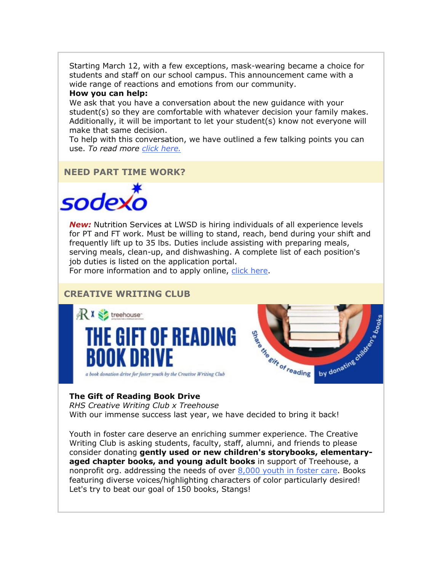Starting March 12, with a few exceptions, mask-wearing became a choice for students and staff on our school campus. This announcement came with a wide range of reactions and emotions from our community.

#### **How you can help:**

We ask that you have a conversation about the new guidance with your student(s) so they are comfortable with whatever decision your family makes. Additionally, it will be important to let your student(s) know not everyone will make that same decision.

To help with this conversation, we have outlined a few talking points you can use. *To read more [click here.](https://nam02.safelinks.protection.outlook.com/?url=http%3A%2F%2Flink.email.dynect.net%2Flink.php%3FDynEngagement%3Dtrue%26H%3De%252BlHqQR4V3t5TbxsLRxYoJGv35GfBKviw7YeOfmjq4SZWfxMG%252BVhK%252Fwt32BceZxw4OAAvaaMhSGcdrreUtfS5kPfr3omy8KYvEzPkBTdXL9so2bkLtJtpg%253D%253D%26G%3D0%26R%3Dhttps%253A%252F%252FPIYPGYZTANA.hatchbuck.com%252FTrackLinkClick%253FID2%253DYbbhvb0y9qxQELRX4kT-hx76lCyLlGUaUlhgJz_BAVCfHTVtJVayTph1cB_c2BhR0%26I%3D20220318222024.000000f6d903%2540smtp-ad2-47-phx%26X%3DMHwxMjY0OTIyOjI1MzIzMDY3MzY7MXwxMjY0OTIzOjE5OTYwNjE5OTs%253D%26V%3D3%26S%3D61PZKLDhBzZkK8vFdh2931caprw0sSQi3o-XHZ5tLEY&data=04%7C01%7Cmwood%40lwsd.org%7Cdae525e5009f40845d3708da092ded00%7C1fd4673fdf9646218638a1d88c4c85d7%7C0%7C0%7C637832390114142013%7CUnknown%7CTWFpbGZsb3d8eyJWIjoiMC4wLjAwMDAiLCJQIjoiV2luMzIiLCJBTiI6Ik1haWwiLCJXVCI6Mn0%3D%7C3000&sdata=a1wgZRcDfuc5YLyM1cPT0RUnYGA%2BzWJ5VBo8poEsz5I%3D&reserved=0)*

**NEED PART TIME WORK?**



*New:* Nutrition Services at LWSD is hiring individuals of all experience levels for PT and FT work. Must be willing to stand, reach, bend during your shift and frequently lift up to 35 lbs. Duties include assisting with preparing meals, serving meals, clean-up, and dishwashing. A complete list of each position's job duties is listed on the application portal.

For more information and to apply online, [click here.](https://nam02.safelinks.protection.outlook.com/?url=http%3A%2F%2Flink.email.dynect.net%2Flink.php%3FDynEngagement%3Dtrue%26H%3De%252BlHqQR4V3t5TbxsLRxYoJGv35GfBKviw7YeOfmjq4SZWfxMG%252BVhK%252Fwt32BceZxw4OAAvaaMhSGcdrreUtfS5kPfr3omy8KYvEzPkBTdXL9so2bkLtJtpg%253D%253D%26G%3D0%26R%3Dhttps%253A%252F%252FPIYPGYZTANA.hatchbuck.com%252FTrackLinkClick%253FID2%253DTav7FTEdwhP91NjIHJsSOHT-4pbjr8_B8uOJmgKOwMGtc1EihihxH8FCHRdw3BZS0%26I%3D20220318222024.000000f6d903%2540smtp-ad2-47-phx%26X%3DMHwxMjY0OTIyOjI1MzIzMDY3MzY7MXwxMjY0OTIzOjE5OTYwNjE5OTs%253D%26V%3D3%26S%3DFGRW0YmsiIowZtY_C9-6DF0Xkh06r0-c0T6Gqkv5z_A&data=04%7C01%7Cmwood%40lwsd.org%7Cdae525e5009f40845d3708da092ded00%7C1fd4673fdf9646218638a1d88c4c85d7%7C0%7C0%7C637832390114142013%7CUnknown%7CTWFpbGZsb3d8eyJWIjoiMC4wLjAwMDAiLCJQIjoiV2luMzIiLCJBTiI6Ik1haWwiLCJXVCI6Mn0%3D%7C3000&sdata=rnAh8zaB68%2BXu4zOhBiyviG3mK61SER3pVabOWB61zs%3D&reserved=0)

# **CREATIVE WRITING CLUB**





### **The Gift of Reading Book Drive**

*RHS Creative Writing Club x Treehouse* With our immense success last year, we have decided to bring it back!

Youth in foster care deserve an enriching summer experience. The Creative Writing Club is asking students, faculty, staff, alumni, and friends to please consider donating **gently used or new children's storybooks, elementaryaged chapter books, and young adult books** in support of Treehouse, a nonprofit org. addressing the needs of over  $8,000$  youth in foster care. Books featuring diverse voices/highlighting characters of color particularly desired! Let's try to beat our goal of 150 books, Stangs!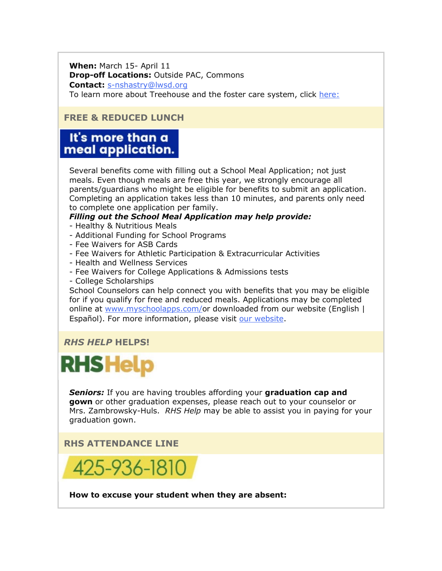**When:** March 15- April 11 **Drop-off Locations:** Outside PAC, Commons **Contact:** [s-nshastry@lwsd.org](mailto:s-nshastry@lwsd.org)

# To learn more about Treehouse and the foster care system, click [here:](https://nam02.safelinks.protection.outlook.com/?url=http%3A%2F%2Flink.email.dynect.net%2Flink.php%3FDynEngagement%3Dtrue%26H%3De%252BlHqQR4V3t5TbxsLRxYoJGv35GfBKviw7YeOfmjq4SZWfxMG%252BVhK%252Fwt32BceZxw4OAAvaaMhSGcdrreUtfS5kPfr3omy8KYvEzPkBTdXL9so2bkLtJtpg%253D%253D%26G%3D0%26R%3Dhttps%253A%252F%252FPIYPGYZTANA.hatchbuck.com%252FTrackLinkClick%253FID2%253DWoBbOt4FBKSg9-mpYLdX60hh32ach0F4R_hGoYty5nY-LtrVw5iIB835YdGrjHdR0%26I%3D20220318222024.000000f6d903%2540smtp-ad2-47-phx%26X%3DMHwxMjY0OTIyOjI1MzIzMDY3MzY7MXwxMjY0OTIzOjE5OTYwNjE5OTs%253D%26V%3D3%26S%3DgMWQDmkj1dpHcNF7pEeTLTmc6lZDS30bhJAzss0CHTw&data=04%7C01%7Cmwood%40lwsd.org%7Cdae525e5009f40845d3708da092ded00%7C1fd4673fdf9646218638a1d88c4c85d7%7C0%7C0%7C637832390114142013%7CUnknown%7CTWFpbGZsb3d8eyJWIjoiMC4wLjAwMDAiLCJQIjoiV2luMzIiLCJBTiI6Ik1haWwiLCJXVCI6Mn0%3D%7C3000&sdata=hle9i7YmUGRKWsmOXK1pLo%2BGpbCgoO%2BJs5ob%2Bir0GxU%3D&reserved=0)

# **FREE & REDUCED LUNCH**

# It's more than a meal application.

Several benefits come with filling out a School Meal Application; not just meals. Even though meals are free this year, we strongly encourage all parents/guardians who might be eligible for benefits to submit an application. Completing an application takes less than 10 minutes, and parents only need to complete one application per family.

# *Filling out the School Meal Application may help provide:*

- Healthy & Nutritious Meals
- Additional Funding for School Programs
- Fee Waivers for ASB Cards
- Fee Waivers for Athletic Participation & Extracurricular Activities
- Health and Wellness Services
- Fee Waivers for College Applications & Admissions tests
- College Scholarships

School Counselors can help connect you with benefits that you may be eligible for if you qualify for free and reduced meals. Applications may be completed online at [www.myschoolapps.com/o](https://nam02.safelinks.protection.outlook.com/?url=http%3A%2F%2Flink.email.dynect.net%2Flink.php%3FDynEngagement%3Dtrue%26H%3De%252BlHqQR4V3t5TbxsLRxYoJGv35GfBKviw7YeOfmjq4SZWfxMG%252BVhK%252Fwt32BceZxw4OAAvaaMhSGcdrreUtfS5kPfr3omy8KYvEzPkBTdXL9so2bkLtJtpg%253D%253D%26G%3D0%26R%3Dhttps%253A%252F%252FPIYPGYZTANA.hatchbuck.com%252FTrackLinkClick%253FID2%253DgN1LTFKxrTxU9MHYVBDGcaovq88teYesSzxGNopTq_LZgI0ZB58ePKmuDkxS2qoH0%26I%3D20220318222024.000000f6d903%2540smtp-ad2-47-phx%26X%3DMHwxMjY0OTIyOjI1MzIzMDY3MzY7MXwxMjY0OTIzOjE5OTYwNjE5OTs%253D%26V%3D3%26S%3DBqpWECiQJipCXAQMtCnxe_hS86q32OrMcgF_EDY1hyk&data=04%7C01%7Cmwood%40lwsd.org%7Cdae525e5009f40845d3708da092ded00%7C1fd4673fdf9646218638a1d88c4c85d7%7C0%7C0%7C637832390114142013%7CUnknown%7CTWFpbGZsb3d8eyJWIjoiMC4wLjAwMDAiLCJQIjoiV2luMzIiLCJBTiI6Ik1haWwiLCJXVCI6Mn0%3D%7C3000&sdata=H71skRUS3ixYjWFSD6LWbz6ns9aNVINuYke%2BAZ7iLFQ%3D&reserved=0)r downloaded from our website (English | Español). For more information, please visit [our website.](https://nam02.safelinks.protection.outlook.com/?url=http%3A%2F%2Flink.email.dynect.net%2Flink.php%3FDynEngagement%3Dtrue%26H%3De%252BlHqQR4V3t5TbxsLRxYoJGv35GfBKviw7YeOfmjq4SZWfxMG%252BVhK%252Fwt32BceZxw4OAAvaaMhSGcdrreUtfS5kPfr3omy8KYvEzPkBTdXL9so2bkLtJtpg%253D%253D%26G%3D0%26R%3Dhttps%253A%252F%252FPIYPGYZTANA.hatchbuck.com%252FTrackLinkClick%253FID2%253DFF_FddPVunisthAUwOLoU45tti4I8wF1rVAPc7FWoAv5OenaicRLc8a_Jr0JMYYU0%26I%3D20220318222024.000000f6d903%2540smtp-ad2-47-phx%26X%3DMHwxMjY0OTIyOjI1MzIzMDY3MzY7MXwxMjY0OTIzOjE5OTYwNjE5OTs%253D%26V%3D3%26S%3Dk5NU15-6zraZMrsUNn1-45Qs9HAf3ihB0nz0QiYrLBo&data=04%7C01%7Cmwood%40lwsd.org%7Cdae525e5009f40845d3708da092ded00%7C1fd4673fdf9646218638a1d88c4c85d7%7C0%7C0%7C637832390114142013%7CUnknown%7CTWFpbGZsb3d8eyJWIjoiMC4wLjAwMDAiLCJQIjoiV2luMzIiLCJBTiI6Ik1haWwiLCJXVCI6Mn0%3D%7C3000&sdata=Ir92aaejXJgdhuyW3Gms1q7gsAEpQqXvhWzgVvi94SE%3D&reserved=0)

# *RHS HELP* **HELPS!**

# **RHS Help**

*Seniors:* If you are having troubles affording your **graduation cap and gown** or other graduation expenses, please reach out to your counselor or Mrs. Zambrowsky-Huls. *RHS Help* may be able to assist you in paying for your graduation gown.

# **RHS ATTENDANCE LINE**



**How to excuse your student when they are absent:**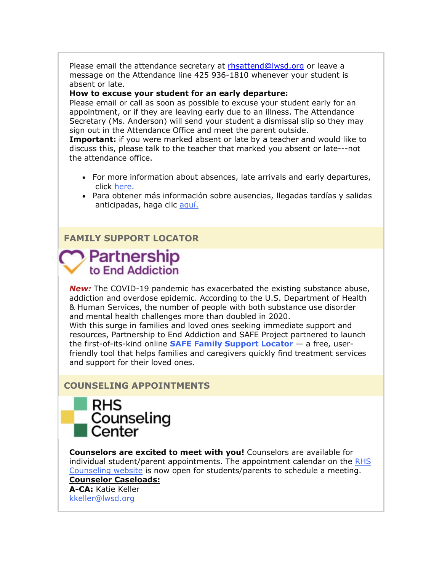Please email the attendance secretary at [rhsattend@lwsd.org](mailto:rhsattend@lwsd.org) or leave a message on the Attendance line 425 936-1810 whenever your student is absent or late.

#### **How to excuse your student for an early departure:**

Please email or call as soon as possible to excuse your student early for an appointment, or if they are leaving early due to an illness. The Attendance Secretary (Ms. Anderson) will send your student a dismissal slip so they may sign out in the Attendance Office and meet the parent outside.

**Important:** if you were marked absent or late by a teacher and would like to discuss this, please talk to the teacher that marked you absent or late---not the attendance office.

- For more information about absences, late arrivals and early departures, click [here.](https://nam02.safelinks.protection.outlook.com/?url=http%3A%2F%2Flink.email.dynect.net%2Flink.php%3FDynEngagement%3Dtrue%26H%3De%252BlHqQR4V3t5TbxsLRxYoJGv35GfBKviw7YeOfmjq4SZWfxMG%252BVhK%252Fwt32BceZxw4OAAvaaMhSGcdrreUtfS5kPfr3omy8KYvEzPkBTdXL9so2bkLtJtpg%253D%253D%26G%3D0%26R%3Dhttps%253A%252F%252FPIYPGYZTANA.hatchbuck.com%252FTrackLinkClick%253FID2%253Dv92v1n7JjMiX3fKhzvvy8lEGsjTCpF5tlJrikPVqPv6V_1gpgoDc59Cdto-vcad90%26I%3D20220318222024.000000f6d903%2540smtp-ad2-47-phx%26X%3DMHwxMjY0OTIyOjI1MzIzMDY3MzY7MXwxMjY0OTIzOjE5OTYwNjE5OTs%253D%26V%3D3%26S%3DKSbKRZCYCFt2ULFc4LLDnhdiACi-vB93_jx_Y2Erb68&data=04%7C01%7Cmwood%40lwsd.org%7Cdae525e5009f40845d3708da092ded00%7C1fd4673fdf9646218638a1d88c4c85d7%7C0%7C0%7C637832390114142013%7CUnknown%7CTWFpbGZsb3d8eyJWIjoiMC4wLjAwMDAiLCJQIjoiV2luMzIiLCJBTiI6Ik1haWwiLCJXVCI6Mn0%3D%7C3000&sdata=uOTef46scZQj6jb3LjlrD94RXFm9eTgZrnAGEIBKujM%3D&reserved=0)
- Para obtener más información sobre ausencias, llegadas tardías y salidas anticipadas, haga clic [aquí.](https://nam02.safelinks.protection.outlook.com/?url=http%3A%2F%2Flink.email.dynect.net%2Flink.php%3FDynEngagement%3Dtrue%26H%3De%252BlHqQR4V3t5TbxsLRxYoJGv35GfBKviw7YeOfmjq4SZWfxMG%252BVhK%252Fwt32BceZxw4OAAvaaMhSGcdrreUtfS5kPfr3omy8KYvEzPkBTdXL9so2bkLtJtpg%253D%253D%26G%3D0%26R%3Dhttps%253A%252F%252FPIYPGYZTANA.hatchbuck.com%252FTrackLinkClick%253FID2%253D55vzp1bZc9YzlEiHEWWdnlX-ZRGeErpeQpWZTz8YGq6alPOSKfTyleGWj4FQB2Xc0%26I%3D20220318222024.000000f6d903%2540smtp-ad2-47-phx%26X%3DMHwxMjY0OTIyOjI1MzIzMDY3MzY7MXwxMjY0OTIzOjE5OTYwNjE5OTs%253D%26V%3D3%26S%3D_YTbeXIOQlkXtDePer2KB7_rkEa1orpK_FwhBLLfa_M&data=04%7C01%7Cmwood%40lwsd.org%7Cdae525e5009f40845d3708da092ded00%7C1fd4673fdf9646218638a1d88c4c85d7%7C0%7C0%7C637832390114142013%7CUnknown%7CTWFpbGZsb3d8eyJWIjoiMC4wLjAwMDAiLCJQIjoiV2luMzIiLCJBTiI6Ik1haWwiLCJXVCI6Mn0%3D%7C3000&sdata=5bXBxlEv6KC3swuqaefb4dLNxbxmRT2hOHfIp2qCO3E%3D&reserved=0)

## **FAMILY SUPPORT LOCATOR**

# Partnership to End Addiction

*New:* The COVID-19 pandemic has exacerbated the existing substance abuse, addiction and overdose epidemic. According to the U.S. Department of Health & Human Services, the number of people with both substance use disorder and mental health challenges more than doubled in 2020.

With this surge in families and loved ones seeking immediate support and resources, Partnership to End Addiction and SAFE Project partnered to launch the first-of-its-kind online **[SAFE Family Support Locator](https://nam02.safelinks.protection.outlook.com/?url=http%3A%2F%2Flink.email.dynect.net%2Flink.php%3FDynEngagement%3Dtrue%26H%3De%252BlHqQR4V3t5TbxsLRxYoJGv35GfBKviw7YeOfmjq4SZWfxMG%252BVhK%252Fwt32BceZxw4OAAvaaMhSGcdrreUtfS5kPfr3omy8KYvEzPkBTdXL9so2bkLtJtpg%253D%253D%26G%3D0%26R%3Dhttps%253A%252F%252FPIYPGYZTANA.hatchbuck.com%252FTrackLinkClick%253FID2%253D7cNgaIP6qfmXEJxMQszeJDn3hazF7IH9YSIfoEM__DRwJzogDKoStr3Sb0YWE7vD0%26I%3D20220318222024.000000f6d903%2540smtp-ad2-47-phx%26X%3DMHwxMjY0OTIyOjI1MzIzMDY3MzY7MXwxMjY0OTIzOjE5OTYwNjE5OTs%253D%26V%3D3%26S%3DefN5rO-cpEm8GpHVYrcO4uXM8pcxxvpdmvEMGwSE9Jg&data=04%7C01%7Cmwood%40lwsd.org%7Cdae525e5009f40845d3708da092ded00%7C1fd4673fdf9646218638a1d88c4c85d7%7C0%7C0%7C637832390114142013%7CUnknown%7CTWFpbGZsb3d8eyJWIjoiMC4wLjAwMDAiLCJQIjoiV2luMzIiLCJBTiI6Ik1haWwiLCJXVCI6Mn0%3D%7C3000&sdata=MAUyl17c8lbNN8q3GNoE%2F6eZW0sZd7COukitM2z7VEk%3D&reserved=0)** — a free, userfriendly tool that helps families and caregivers quickly find treatment services and support for their loved ones.

# **COUNSELING APPOINTMENTS**



**Counselors are excited to meet with you!** Counselors are available for individual student/parent appointments. The appointment calendar on the [RHS](https://nam02.safelinks.protection.outlook.com/?url=http%3A%2F%2Flink.email.dynect.net%2Flink.php%3FDynEngagement%3Dtrue%26H%3De%252BlHqQR4V3t5TbxsLRxYoJGv35GfBKviw7YeOfmjq4SZWfxMG%252BVhK%252Fwt32BceZxw4OAAvaaMhSGcdrreUtfS5kPfr3omy8KYvEzPkBTdXL9so2bkLtJtpg%253D%253D%26G%3D0%26R%3Dhttps%253A%252F%252FPIYPGYZTANA.hatchbuck.com%252FTrackLinkClick%253FID2%253DtP05kwROdbLf23R-HnI4PUusCgc537MnrC39e4RCVPenyTosqJxi9hQxca2lukMh0%26I%3D20220318222024.000000f6d903%2540smtp-ad2-47-phx%26X%3DMHwxMjY0OTIyOjI1MzIzMDY3MzY7MXwxMjY0OTIzOjE5OTYwNjE5OTs%253D%26V%3D3%26S%3D6kiO-enqQuIh-8IREfhVrsQ5z2KaaIU3ziQXkCI8WhE&data=04%7C01%7Cmwood%40lwsd.org%7Cdae525e5009f40845d3708da092ded00%7C1fd4673fdf9646218638a1d88c4c85d7%7C0%7C0%7C637832390114142013%7CUnknown%7CTWFpbGZsb3d8eyJWIjoiMC4wLjAwMDAiLCJQIjoiV2luMzIiLCJBTiI6Ik1haWwiLCJXVCI6Mn0%3D%7C3000&sdata=SCekgnYGYEKBbaZbxXTYHHs5wzvUJoOwyyqMD9s44g0%3D&reserved=0)  [Counseling website](https://nam02.safelinks.protection.outlook.com/?url=http%3A%2F%2Flink.email.dynect.net%2Flink.php%3FDynEngagement%3Dtrue%26H%3De%252BlHqQR4V3t5TbxsLRxYoJGv35GfBKviw7YeOfmjq4SZWfxMG%252BVhK%252Fwt32BceZxw4OAAvaaMhSGcdrreUtfS5kPfr3omy8KYvEzPkBTdXL9so2bkLtJtpg%253D%253D%26G%3D0%26R%3Dhttps%253A%252F%252FPIYPGYZTANA.hatchbuck.com%252FTrackLinkClick%253FID2%253DtP05kwROdbLf23R-HnI4PUusCgc537MnrC39e4RCVPenyTosqJxi9hQxca2lukMh0%26I%3D20220318222024.000000f6d903%2540smtp-ad2-47-phx%26X%3DMHwxMjY0OTIyOjI1MzIzMDY3MzY7MXwxMjY0OTIzOjE5OTYwNjE5OTs%253D%26V%3D3%26S%3D6kiO-enqQuIh-8IREfhVrsQ5z2KaaIU3ziQXkCI8WhE&data=04%7C01%7Cmwood%40lwsd.org%7Cdae525e5009f40845d3708da092ded00%7C1fd4673fdf9646218638a1d88c4c85d7%7C0%7C0%7C637832390114142013%7CUnknown%7CTWFpbGZsb3d8eyJWIjoiMC4wLjAwMDAiLCJQIjoiV2luMzIiLCJBTiI6Ik1haWwiLCJXVCI6Mn0%3D%7C3000&sdata=SCekgnYGYEKBbaZbxXTYHHs5wzvUJoOwyyqMD9s44g0%3D&reserved=0) is now open for students/parents to schedule a meeting. **Counselor Caseloads:**

**A-CA:** Katie Keller [kkeller@lwsd.org](mailto:kkeller@lwsd.org)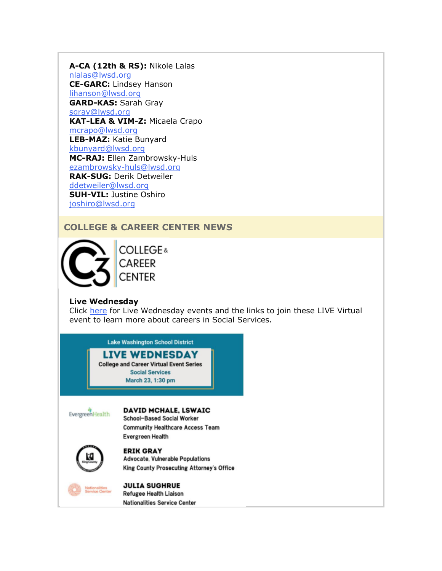**A-CA (12th & RS):** Nikole Lalas [nlalas@lwsd.org](mailto:nlalas@lwsd.org) **CE-GARC:** Lindsey Hanson [lihanson@lwsd.org](mailto:lihanson@lwsd.org) **GARD-KAS:** Sarah Gray [sgray@lwsd.org](mailto:sgray@lwsd.org) **KAT-LEA & VIM-Z:** Micaela Crapo [mcrapo@lwsd.org](mailto:mcrapo@lwsd.org) **LEB-MAZ:** Katie Bunyard [kbunyard@lwsd.org](mailto:Kbunyard@lwsd.org) **MC-RAJ:** Ellen Zambrowsky-Huls [ezambrowsky-huls@lwsd.org](mailto:Ezambrowsky-huls@lwsd.org) **RAK-SUG:** Derik Detweiler [ddetweiler@lwsd.org](mailto:ddetweiler@lwsd.org) **SUH-VIL:** Justine Oshiro [joshiro@lwsd.org](mailto:joshiro@lwsd.org)

# **COLLEGE & CAREER CENTER NEWS**



**COLLEGE & CAREER CENTER** 

# **Live Wednesday**

Click [here](https://nam02.safelinks.protection.outlook.com/?url=http%3A%2F%2Flink.email.dynect.net%2Flink.php%3FDynEngagement%3Dtrue%26H%3De%252BlHqQR4V3t5TbxsLRxYoJGv35GfBKviw7YeOfmjq4SZWfxMG%252BVhK%252Fwt32BceZxw4OAAvaaMhSGcdrreUtfS5kPfr3omy8KYvEzPkBTdXL9so2bkLtJtpg%253D%253D%26G%3D0%26R%3Dhttps%253A%252F%252FPIYPGYZTANA.hatchbuck.com%252FTrackLinkClick%253FID2%253Di7EwO7RaJ3dm5pkm4eg6Vnox-S76aXHnnlrzeJyp9_44dtUzQRrPnWMNazqXO1-E0%26I%3D20220318222024.000000f6d903%2540smtp-ad2-47-phx%26X%3DMHwxMjY0OTIyOjI1MzIzMDY3MzY7MXwxMjY0OTIzOjE5OTYwNjE5OTs%253D%26V%3D3%26S%3D8X68xIlIpGbfAzYLKqcc3qA84rhMbIo5lPvaUETpcD0&data=04%7C01%7Cmwood%40lwsd.org%7Cdae525e5009f40845d3708da092ded00%7C1fd4673fdf9646218638a1d88c4c85d7%7C0%7C0%7C637832390114142013%7CUnknown%7CTWFpbGZsb3d8eyJWIjoiMC4wLjAwMDAiLCJQIjoiV2luMzIiLCJBTiI6Ik1haWwiLCJXVCI6Mn0%3D%7C3000&sdata=a7Rjwbmi8eKGx0FTLEZZf%2FZXacodOCEsUdIEQ%2FpyA6c%3D&reserved=0) for Live Wednesday events and the links to join these LIVE Virtual event to learn more about careers in Social Services.

> **Lake Washington School District LIVE WEDNESDAY**

**College and Career Virtual Event Series Social Services** March 23, 1:30 pm

EvergreenHealth

#### **DAVID MCHALE, LSWAIC**

School-Based Social Worker **Community Healthcare Access Team Evergreen Health** 



**ERIK GRAY** Advocate, Vulnerable Populations King County Prosecuting Attorney's Office



**JULIA SUGHRUE Refugee Health Liaison Nationalities Service Center**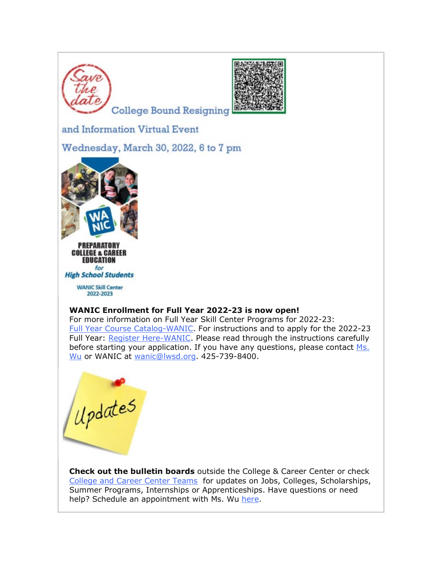



College Bound Resigning

and Information Virtual Event

Wednesday, March 30, 2022, 6 to 7 pm



**COLLEGE & CAREER EDUCATION** for

**High School Students** 

**WANIC Skill Center** 2022-2023

# **WANIC Enrollment for Full Year 2022-23 is now open!**

For more information on Full Year Skill Center Programs for 2022-23: [Full Year Course Catalog-WANIC.](https://nam02.safelinks.protection.outlook.com/?url=http%3A%2F%2Flink.email.dynect.net%2Flink.php%3FDynEngagement%3Dtrue%26H%3De%252BlHqQR4V3t5TbxsLRxYoJGv35GfBKviw7YeOfmjq4SZWfxMG%252BVhK%252Fwt32BceZxw4OAAvaaMhSGcdrreUtfS5kPfr3omy8KYvEzPkBTdXL9so2bkLtJtpg%253D%253D%26G%3D0%26R%3Dhttps%253A%252F%252FPIYPGYZTANA.hatchbuck.com%252FTrackLinkClick%253FID2%253DRxqGwJHlcyILWiDUCE5uoE3s5ZVFfM6SUjp37Wb8UuiOynp8a5KbH1BGcM3Ubobm0%26I%3D20220318222024.000000f6d903%2540smtp-ad2-47-phx%26X%3DMHwxMjY0OTIyOjI1MzIzMDY3MzY7MXwxMjY0OTIzOjE5OTYwNjE5OTs%253D%26V%3D3%26S%3Dnby3GokJ_AWrM03Jn14hoHxNknHZXYRlZmoEnLhFlns&data=04%7C01%7Cmwood%40lwsd.org%7Cdae525e5009f40845d3708da092ded00%7C1fd4673fdf9646218638a1d88c4c85d7%7C0%7C0%7C637832390114142013%7CUnknown%7CTWFpbGZsb3d8eyJWIjoiMC4wLjAwMDAiLCJQIjoiV2luMzIiLCJBTiI6Ik1haWwiLCJXVCI6Mn0%3D%7C3000&sdata=ODxPhLDR4Agzagm%2F2Tz2Iur6%2B3ztIH%2FruPbqgCKdGvA%3D&reserved=0) For instructions and to apply for the 2022-23 Full Year: [Register Here-WANIC.](https://nam02.safelinks.protection.outlook.com/?url=http%3A%2F%2Flink.email.dynect.net%2Flink.php%3FDynEngagement%3Dtrue%26H%3De%252BlHqQR4V3t5TbxsLRxYoJGv35GfBKviw7YeOfmjq4SZWfxMG%252BVhK%252Fwt32BceZxw4OAAvaaMhSGcdrreUtfS5kPfr3omy8KYvEzPkBTdXL9so2bkLtJtpg%253D%253D%26G%3D0%26R%3Dhttps%253A%252F%252FPIYPGYZTANA.hatchbuck.com%252FTrackLinkClick%253FID2%253D3UuQdxLADkDpmTJxVCOyc2guxNa42rsORgzpUlH7ns8yoDVLNcmMRPc7NayTIgXl0%26I%3D20220318222024.000000f6d903%2540smtp-ad2-47-phx%26X%3DMHwxMjY0OTIyOjI1MzIzMDY3MzY7MXwxMjY0OTIzOjE5OTYwNjE5OTs%253D%26V%3D3%26S%3DgMNowk6-nT6wE_FT3vCl8NdvPw8qQXTlOw4i6mgn_OY&data=04%7C01%7Cmwood%40lwsd.org%7Cdae525e5009f40845d3708da092ded00%7C1fd4673fdf9646218638a1d88c4c85d7%7C0%7C0%7C637832390114142013%7CUnknown%7CTWFpbGZsb3d8eyJWIjoiMC4wLjAwMDAiLCJQIjoiV2luMzIiLCJBTiI6Ik1haWwiLCJXVCI6Mn0%3D%7C3000&sdata=ICWTLGrPMSzogdgIlocsTnVOV3d4DYGvGLk1yAwY7Io%3D&reserved=0) Please read through the instructions carefully before starting your application. If you have any questions, please contact Ms. [Wu](mailto:rwu@lwsd.org) or WANIC at [wanic@lwsd.org.](mailto:wanic@lwsd.org) 425-739-8400.

Updates

**Check out the bulletin boards** outside the College & Career Center or check [College and Career Center Teams](https://nam02.safelinks.protection.outlook.com/?url=http%3A%2F%2Flink.email.dynect.net%2Flink.php%3FDynEngagement%3Dtrue%26H%3De%252BlHqQR4V3t5TbxsLRxYoJGv35GfBKviw7YeOfmjq4SZWfxMG%252BVhK%252Fwt32BceZxw4OAAvaaMhSGcdrreUtfS5kPfr3omy8KYvEzPkBTdXL9so2bkLtJtpg%253D%253D%26G%3D0%26R%3Dhttps%253A%252F%252FPIYPGYZTANA.hatchbuck.com%252FTrackLinkClick%253FID2%253Dd_diRwkt_YPIY02SnMElWRF_feLT7fxhXXt8HM35BCpODb2vaWzZTeij4tf4HJqA0%26I%3D20220318222024.000000f6d903%2540smtp-ad2-47-phx%26X%3DMHwxMjY0OTIyOjI1MzIzMDY3MzY7MXwxMjY0OTIzOjE5OTYwNjE5OTs%253D%26V%3D3%26S%3Dr1WUc_wq7McKftJElcgBNJdTMgLoEdaANhZ3T5Dzz_Y&data=04%7C01%7Cmwood%40lwsd.org%7Cdae525e5009f40845d3708da092ded00%7C1fd4673fdf9646218638a1d88c4c85d7%7C0%7C0%7C637832390114142013%7CUnknown%7CTWFpbGZsb3d8eyJWIjoiMC4wLjAwMDAiLCJQIjoiV2luMzIiLCJBTiI6Ik1haWwiLCJXVCI6Mn0%3D%7C3000&sdata=luPotQwLrawQO%2B3dm6xbgtC1%2BaIMCcQvwnmrDbLpYh8%3D&reserved=0) for updates on Jobs, Colleges, Scholarships, Summer Programs, Internships or Apprenticeships. Have questions or need help? Schedule an appointment with Ms. Wu [here.](https://nam02.safelinks.protection.outlook.com/?url=http%3A%2F%2Flink.email.dynect.net%2Flink.php%3FDynEngagement%3Dtrue%26H%3De%252BlHqQR4V3t5TbxsLRxYoJGv35GfBKviw7YeOfmjq4SZWfxMG%252BVhK%252Fwt32BceZxw4OAAvaaMhSGcdrreUtfS5kPfr3omy8KYvEzPkBTdXL9so2bkLtJtpg%253D%253D%26G%3D0%26R%3Dhttps%253A%252F%252FPIYPGYZTANA.hatchbuck.com%252FTrackLinkClick%253FID2%253Dsr_NTBspEBngh9ULzd4Y1Xn28LxBfrgRS9RYSZ-QjQ3LClqs-3rVDKc2QQAluPVn0%26I%3D20220318222024.000000f6d903%2540smtp-ad2-47-phx%26X%3DMHwxMjY0OTIyOjI1MzIzMDY3MzY7MXwxMjY0OTIzOjE5OTYwNjE5OTs%253D%26V%3D3%26S%3DrbWrLFQd8PgrEGZePsG1ZhfK8PpJKRz1b5BbU4jfXPE&data=04%7C01%7Cmwood%40lwsd.org%7Cdae525e5009f40845d3708da092ded00%7C1fd4673fdf9646218638a1d88c4c85d7%7C0%7C0%7C637832390114142013%7CUnknown%7CTWFpbGZsb3d8eyJWIjoiMC4wLjAwMDAiLCJQIjoiV2luMzIiLCJBTiI6Ik1haWwiLCJXVCI6Mn0%3D%7C3000&sdata=TKG%2Bokq0MokBsh8c0nvcdjhGEiGKyhbuH5cH8LEUlB4%3D&reserved=0)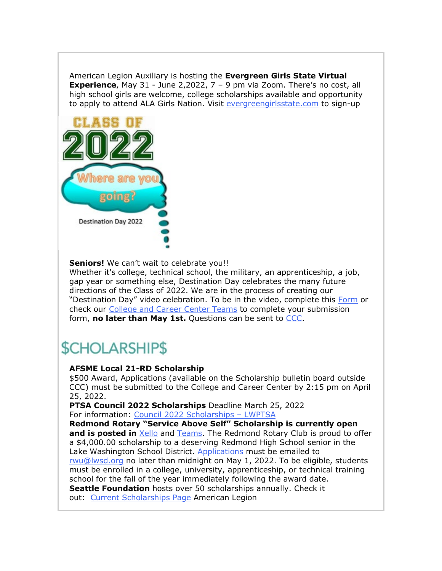American Legion Auxiliary is hosting the **Evergreen Girls State Virtual Experience**, May 31 - June 2,2022, 7 – 9 pm via Zoom. There's no cost, all high school girls are welcome, college scholarships available and opportunity to apply to attend ALA Girls Nation. Visit [evergreengirlsstate.com](https://nam02.safelinks.protection.outlook.com/?url=http%3A%2F%2Flink.email.dynect.net%2Flink.php%3FDynEngagement%3Dtrue%26H%3De%252BlHqQR4V3t5TbxsLRxYoJGv35GfBKviw7YeOfmjq4SZWfxMG%252BVhK%252Fwt32BceZxw4OAAvaaMhSGcdrreUtfS5kPfr3omy8KYvEzPkBTdXL9so2bkLtJtpg%253D%253D%26G%3D0%26R%3Dhttps%253A%252F%252FPIYPGYZTANA.hatchbuck.com%252FTrackLinkClick%253FID2%253D78dHkpLv-KEvfcWzIFNLnDC_PntJk8GbHJpfC-3OefjNE7GkMhmpncrq-AC4Qtel0%26I%3D20220318222024.000000f6d903%2540smtp-ad2-47-phx%26X%3DMHwxMjY0OTIyOjI1MzIzMDY3MzY7MXwxMjY0OTIzOjE5OTYwNjE5OTs%253D%26V%3D3%26S%3Dne4U2ukfFMb7alyi3zXyDq6cfOOIpR3Gte3IhulVcZE&data=04%7C01%7Cmwood%40lwsd.org%7Cdae525e5009f40845d3708da092ded00%7C1fd4673fdf9646218638a1d88c4c85d7%7C0%7C0%7C637832390114142013%7CUnknown%7CTWFpbGZsb3d8eyJWIjoiMC4wLjAwMDAiLCJQIjoiV2luMzIiLCJBTiI6Ik1haWwiLCJXVCI6Mn0%3D%7C3000&sdata=UV1eUTWnqQIAdL32KOEhfLyBT%2Bt8Fp2JTYFr2C%2FY3%2Bg%3D&reserved=0) to sign-up



**Seniors!** We can't wait to celebrate you!!

Whether it's college, technical school, the military, an apprenticeship, a job, gap year or something else, Destination Day celebrates the many future directions of the Class of 2022. We are in the process of creating our "Destination Day" video celebration. To be in the video, complete this [Form](https://nam02.safelinks.protection.outlook.com/?url=http%3A%2F%2Flink.email.dynect.net%2Flink.php%3FDynEngagement%3Dtrue%26H%3De%252BlHqQR4V3t5TbxsLRxYoJGv35GfBKviw7YeOfmjq4SZWfxMG%252BVhK%252Fwt32BceZxw4OAAvaaMhSGcdrreUtfS5kPfr3omy8KYvEzPkBTdXL9so2bkLtJtpg%253D%253D%26G%3D0%26R%3Dhttps%253A%252F%252FPIYPGYZTANA.hatchbuck.com%252FTrackLinkClick%253FID2%253DPPVsKk92-D9yAdy5FMqXwGkah_Q-4Ydbj17Syu_iHxQOeQz3_USbRsBcPFVcq4Iq0%26I%3D20220318222024.000000f6d903%2540smtp-ad2-47-phx%26X%3DMHwxMjY0OTIyOjI1MzIzMDY3MzY7MXwxMjY0OTIzOjE5OTYwNjE5OTs%253D%26V%3D3%26S%3DD2my2EQaM6HcqkQKcjcKeK1AUjtnnh3TiFMtmBidum8&data=04%7C01%7Cmwood%40lwsd.org%7Cdae525e5009f40845d3708da092ded00%7C1fd4673fdf9646218638a1d88c4c85d7%7C0%7C0%7C637832390114142013%7CUnknown%7CTWFpbGZsb3d8eyJWIjoiMC4wLjAwMDAiLCJQIjoiV2luMzIiLCJBTiI6Ik1haWwiLCJXVCI6Mn0%3D%7C3000&sdata=FhuKULG6sZjxjSGEph7oMMxCwsI6UZm295UM86UUFmk%3D&reserved=0) or check our [College and Career Center Teams](https://nam02.safelinks.protection.outlook.com/?url=http%3A%2F%2Flink.email.dynect.net%2Flink.php%3FDynEngagement%3Dtrue%26H%3De%252BlHqQR4V3t5TbxsLRxYoJGv35GfBKviw7YeOfmjq4SZWfxMG%252BVhK%252Fwt32BceZxw4OAAvaaMhSGcdrreUtfS5kPfr3omy8KYvEzPkBTdXL9so2bkLtJtpg%253D%253D%26G%3D0%26R%3Dhttps%253A%252F%252FPIYPGYZTANA.hatchbuck.com%252FTrackLinkClick%253FID2%253Dd_diRwkt_YPIY02SnMElWRF_feLT7fxhXXt8HM35BCpODb2vaWzZTeij4tf4HJqA0%26I%3D20220318222024.000000f6d903%2540smtp-ad2-47-phx%26X%3DMHwxMjY0OTIyOjI1MzIzMDY3MzY7MXwxMjY0OTIzOjE5OTYwNjE5OTs%253D%26V%3D3%26S%3Dr1WUc_wq7McKftJElcgBNJdTMgLoEdaANhZ3T5Dzz_Y&data=04%7C01%7Cmwood%40lwsd.org%7Cdae525e5009f40845d3708da092ded00%7C1fd4673fdf9646218638a1d88c4c85d7%7C0%7C0%7C637832390114142013%7CUnknown%7CTWFpbGZsb3d8eyJWIjoiMC4wLjAwMDAiLCJQIjoiV2luMzIiLCJBTiI6Ik1haWwiLCJXVCI6Mn0%3D%7C3000&sdata=luPotQwLrawQO%2B3dm6xbgtC1%2BaIMCcQvwnmrDbLpYh8%3D&reserved=0) to complete your submission form, **no later than May 1st.** Questions can be sent to [CCC.](mailto:rwu@lwsd.org)

# *SCHOLARSHIPS*

# **AFSME Local 21-RD Scholarship**

\$500 Award, Applications (available on the Scholarship bulletin board outside CCC) must be submitted to the College and Career Center by 2:15 pm on April 25, 2022.

**PTSA Council 2022 Scholarships** Deadline March 25, 2022 For information: [Council 2022 Scholarships](https://nam02.safelinks.protection.outlook.com/?url=http%3A%2F%2Flink.email.dynect.net%2Flink.php%3FDynEngagement%3Dtrue%26H%3De%252BlHqQR4V3t5TbxsLRxYoJGv35GfBKviw7YeOfmjq4SZWfxMG%252BVhK%252Fwt32BceZxw4OAAvaaMhSGcdrreUtfS5kPfr3omy8KYvEzPkBTdXL9so2bkLtJtpg%253D%253D%26G%3D0%26R%3Dhttps%253A%252F%252FPIYPGYZTANA.hatchbuck.com%252FTrackLinkClick%253FID2%253DM3LvRHKT5P88UK6vu2N_3lQ96kGYzPE1PkGCYHPOShPuON7zyaRO_VNFxleFrRtG0%26I%3D20220318222024.000000f6d903%2540smtp-ad2-47-phx%26X%3DMHwxMjY0OTIyOjI1MzIzMDY3MzY7MXwxMjY0OTIzOjE5OTYwNjE5OTs%253D%26V%3D3%26S%3DpJIJyyRfE0zUvP3XO6SDHP5-4b8KshONw_jeHgfrgmc&data=04%7C01%7Cmwood%40lwsd.org%7Cdae525e5009f40845d3708da092ded00%7C1fd4673fdf9646218638a1d88c4c85d7%7C0%7C0%7C637832390114298239%7CUnknown%7CTWFpbGZsb3d8eyJWIjoiMC4wLjAwMDAiLCJQIjoiV2luMzIiLCJBTiI6Ik1haWwiLCJXVCI6Mn0%3D%7C3000&sdata=DbcSCn6BCRfAAKa7sl%2FoX610VwbIHVg0BPXE76JM3PI%3D&reserved=0) – LWPTSA

**Redmond Rotary "Service Above Self" Scholarship is currently open and is posted in** [Xello](https://nam02.safelinks.protection.outlook.com/?url=http%3A%2F%2Flink.email.dynect.net%2Flink.php%3FDynEngagement%3Dtrue%26H%3De%252BlHqQR4V3t5TbxsLRxYoJGv35GfBKviw7YeOfmjq4SZWfxMG%252BVhK%252Fwt32BceZxw4OAAvaaMhSGcdrreUtfS5kPfr3omy8KYvEzPkBTdXL9so2bkLtJtpg%253D%253D%26G%3D0%26R%3Dhttps%253A%252F%252FPIYPGYZTANA.hatchbuck.com%252FTrackLinkClick%253FID2%253Du-FjTb099YQ1UVAIeEW34TCcFQ46IZkaxq1te4858-svXCpdrYoQDXtWzfgzU41_0%26I%3D20220318222024.000000f6d903%2540smtp-ad2-47-phx%26X%3DMHwxMjY0OTIyOjI1MzIzMDY3MzY7MXwxMjY0OTIzOjE5OTYwNjE5OTs%253D%26V%3D3%26S%3DOdZi08gNGJeSZ1k5HsLG7bxUVoKjNT-TWoIIU5s_GT8&data=04%7C01%7Cmwood%40lwsd.org%7Cdae525e5009f40845d3708da092ded00%7C1fd4673fdf9646218638a1d88c4c85d7%7C0%7C0%7C637832390114298239%7CUnknown%7CTWFpbGZsb3d8eyJWIjoiMC4wLjAwMDAiLCJQIjoiV2luMzIiLCJBTiI6Ik1haWwiLCJXVCI6Mn0%3D%7C3000&sdata=PMW1KSGTsGGBZFfEThPFeXcuJxbxkJXw%2FQQsOLBsemI%3D&reserved=0) and [Teams.](https://nam02.safelinks.protection.outlook.com/?url=http%3A%2F%2Flink.email.dynect.net%2Flink.php%3FDynEngagement%3Dtrue%26H%3De%252BlHqQR4V3t5TbxsLRxYoJGv35GfBKviw7YeOfmjq4SZWfxMG%252BVhK%252Fwt32BceZxw4OAAvaaMhSGcdrreUtfS5kPfr3omy8KYvEzPkBTdXL9so2bkLtJtpg%253D%253D%26G%3D0%26R%3Dhttps%253A%252F%252FPIYPGYZTANA.hatchbuck.com%252FTrackLinkClick%253FID2%253DPdrO-FSCov2Ul6JXjYhYYme4VQkdyM2OvNvCubiSufvJyRU5U8Nr88os6HNggD2J0%26I%3D20220318222024.000000f6d903%2540smtp-ad2-47-phx%26X%3DMHwxMjY0OTIyOjI1MzIzMDY3MzY7MXwxMjY0OTIzOjE5OTYwNjE5OTs%253D%26V%3D3%26S%3DbagoGOkgkgFk4G7YTejDr1lJe7LDILx6n_XKPaEwSyo&data=04%7C01%7Cmwood%40lwsd.org%7Cdae525e5009f40845d3708da092ded00%7C1fd4673fdf9646218638a1d88c4c85d7%7C0%7C0%7C637832390114298239%7CUnknown%7CTWFpbGZsb3d8eyJWIjoiMC4wLjAwMDAiLCJQIjoiV2luMzIiLCJBTiI6Ik1haWwiLCJXVCI6Mn0%3D%7C3000&sdata=IVGNb777836jpIln7DQ915hUxfufMNoyYgzasQsC3iw%3D&reserved=0) The Redmond Rotary Club is proud to offer a \$4,000.00 scholarship to a deserving Redmond High School senior in the Lake Washington School District. [Applications](https://nam02.safelinks.protection.outlook.com/?url=http%3A%2F%2Flink.email.dynect.net%2Flink.php%3FDynEngagement%3Dtrue%26H%3De%252BlHqQR4V3t5TbxsLRxYoJGv35GfBKviw7YeOfmjq4SZWfxMG%252BVhK%252Fwt32BceZxw4OAAvaaMhSGcdrreUtfS5kPfr3omy8KYvEzPkBTdXL9so2bkLtJtpg%253D%253D%26G%3D0%26R%3Dhttps%253A%252F%252FPIYPGYZTANA.hatchbuck.com%252FTrackLinkClick%253FID2%253Dup8sQ8kurGvMQsgBY1mTFjNQJ65CIWFo2S52WUnZy1I7hE72AhZghtyHY7CVdAQR0%26I%3D20220318222024.000000f6d903%2540smtp-ad2-47-phx%26X%3DMHwxMjY0OTIyOjI1MzIzMDY3MzY7MXwxMjY0OTIzOjE5OTYwNjE5OTs%253D%26V%3D3%26S%3D6lVpj7HhRXOKFI_emUn4iCypui2preRgAFVIzxyjmc8&data=04%7C01%7Cmwood%40lwsd.org%7Cdae525e5009f40845d3708da092ded00%7C1fd4673fdf9646218638a1d88c4c85d7%7C0%7C0%7C637832390114298239%7CUnknown%7CTWFpbGZsb3d8eyJWIjoiMC4wLjAwMDAiLCJQIjoiV2luMzIiLCJBTiI6Ik1haWwiLCJXVCI6Mn0%3D%7C3000&sdata=nwu5tvlybxh18eWO6DFk4dHqSPrkr%2F6nfdcrwdIgEjM%3D&reserved=0) must be emailed to [rwu@lwsd.org](mailto:rwu@lwsd.org) no later than midnight on May 1, 2022. To be eligible, students must be enrolled in a college, university, apprenticeship, or technical training school for the fall of the year immediately following the award date. **Seattle Foundation** hosts over 50 scholarships annually. Check it out: [Current Scholarships Page](https://nam02.safelinks.protection.outlook.com/?url=http%3A%2F%2Flink.email.dynect.net%2Flink.php%3FDynEngagement%3Dtrue%26H%3De%252BlHqQR4V3t5TbxsLRxYoJGv35GfBKviw7YeOfmjq4SZWfxMG%252BVhK%252Fwt32BceZxw4OAAvaaMhSGcdrreUtfS5kPfr3omy8KYvEzPkBTdXL9so2bkLtJtpg%253D%253D%26G%3D0%26R%3Dhttps%253A%252F%252FPIYPGYZTANA.hatchbuck.com%252FTrackLinkClick%253FID2%253DcqWkEBedjFXi2TGHqxXVjbXTXo1oMh2vQGoJY-SkYSOKsVfVSktFy8elgj49_Jlo0%26I%3D20220318222024.000000f6d903%2540smtp-ad2-47-phx%26X%3DMHwxMjY0OTIyOjI1MzIzMDY3MzY7MXwxMjY0OTIzOjE5OTYwNjE5OTs%253D%26V%3D3%26S%3D7X4nI7AGxDK_fDUhzyQzEpYTgDvdj-syg5aeVwqAqNI&data=04%7C01%7Cmwood%40lwsd.org%7Cdae525e5009f40845d3708da092ded00%7C1fd4673fdf9646218638a1d88c4c85d7%7C0%7C0%7C637832390114298239%7CUnknown%7CTWFpbGZsb3d8eyJWIjoiMC4wLjAwMDAiLCJQIjoiV2luMzIiLCJBTiI6Ik1haWwiLCJXVCI6Mn0%3D%7C3000&sdata=LG%2Fsrp4fn2C8rMhaiMMbSePfIw0f126WSozyvyzLoCs%3D&reserved=0) American Legion